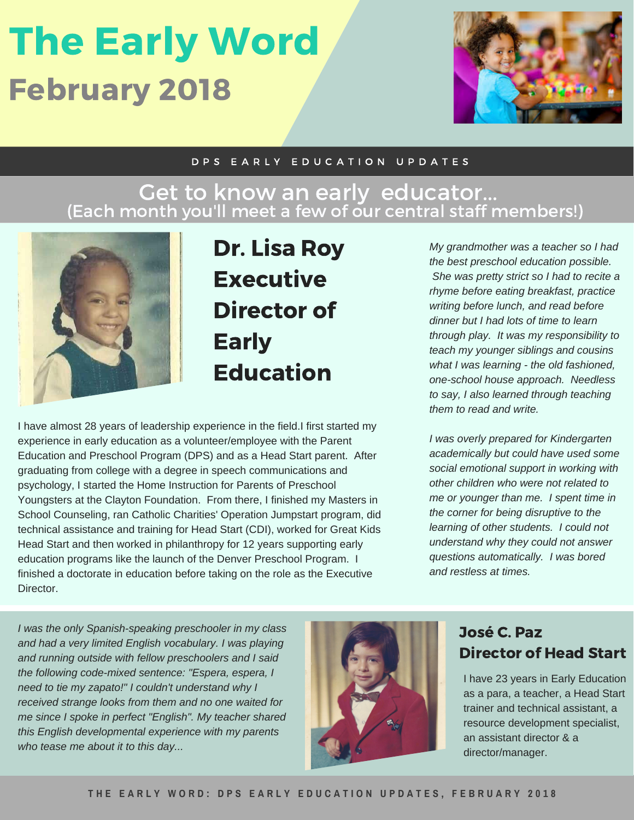## The Early Word February 2018



#### D P S E A R L Y E D U C A T I O N U P D A T E S

### Get to know an early educator... (Each month you'll meet a few of our central staff members!)



Dr. Lisa Roy **Executive** Director of Early Education

I have almost 28 years of leadership experience in the field.I first started my experience in early education as a volunteer/employee with the Parent Education and Preschool Program (DPS) and as a Head Start parent. After graduating from college with a degree in speech communications and psychology, I started the Home Instruction for Parents of Preschool Youngsters at the Clayton Foundation. From there, I finished my Masters in School Counseling, ran Catholic Charities' Operation Jumpstart program, did technical assistance and training for Head Start (CDI), worked for Great Kids Head Start and then worked in philanthropy for 12 years supporting early education programs like the launch of the Denver Preschool Program. I finished a doctorate in education before taking on the role as the Executive Director.

*My grandmother was a teacher so I had the best preschool education possible. She was pretty strict so I had to recite a rhyme before eating breakfast, practice writing before lunch, and read before dinner but I had lots of time to learn through play. It was my responsibility to teach my younger siblings and cousins what I was learning - the old fashioned, one-school house approach. Needless to say, I also learned through teaching them to read and write.*

*I was overly prepared for Kindergarten academically but could have used some social emotional support in working with other children who were not related to me or younger than me. I spent time in the corner for being disruptive to the learning of other students. I could not understand why they could not answer questions automatically. I was bored and restless at times.*

*I was the only Spanish-speaking preschooler in my class and had a very limited English vocabulary. I was playing and running outside with fellow preschoolers and I said the following code-mixed sentence: "Espera, espera, I need to tie my zapato!" I couldn't understand why I received strange looks from them and no one waited for me since I spoke in perfect "English". My teacher shared this English developmental experience with my parents who tease me about it to this day...*



### José C. Paz Director of Head Start

I have 23 years in Early Education as a para, a teacher, a Head Start trainer and technical assistant, a resource development specialist, an assistant director & a director/manager.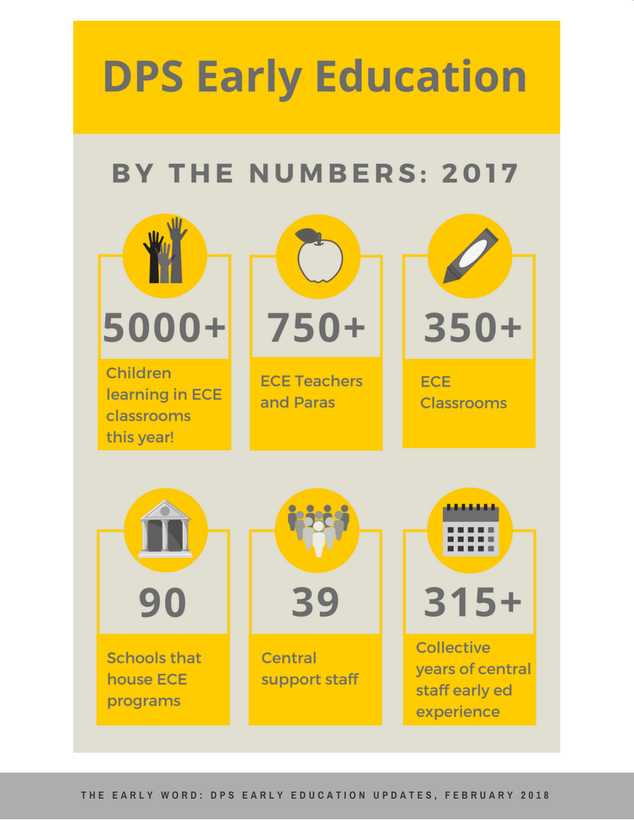# **DPS Early Education**

### **BY THE NUMBERS: 2017**